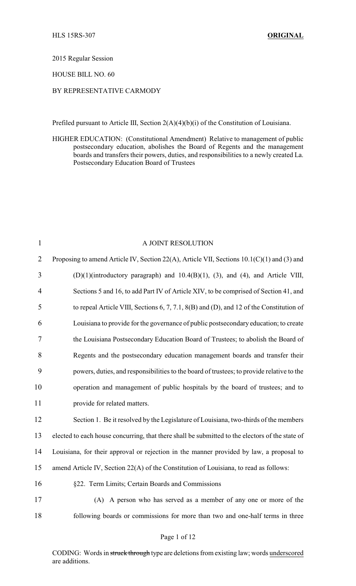2015 Regular Session

HOUSE BILL NO. 60

## BY REPRESENTATIVE CARMODY

Prefiled pursuant to Article III, Section 2(A)(4)(b)(i) of the Constitution of Louisiana.

HIGHER EDUCATION: (Constitutional Amendment) Relative to management of public postsecondary education, abolishes the Board of Regents and the management boards and transfers their powers, duties, and responsibilities to a newly created La. Postsecondary Education Board of Trustees

| $\mathbf{1}$   | A JOINT RESOLUTION                                                                              |
|----------------|-------------------------------------------------------------------------------------------------|
| $\overline{2}$ | Proposing to amend Article IV, Section 22(A), Article VII, Sections 10.1(C)(1) and (3) and      |
| $\overline{3}$ | $(D)(1)$ (introductory paragraph) and $10.4(B)(1)$ , (3), and (4), and Article VIII,            |
| 4              | Sections 5 and 16, to add Part IV of Article XIV, to be comprised of Section 41, and            |
| 5              | to repeal Article VIII, Sections 6, 7, 7.1, 8(B) and (D), and 12 of the Constitution of         |
| 6              | Louisiana to provide for the governance of public postsecondary education; to create            |
| 7              | the Louisiana Postsecondary Education Board of Trustees; to abolish the Board of                |
| 8              | Regents and the postsecondary education management boards and transfer their                    |
| 9              | powers, duties, and responsibilities to the board of trustees; to provide relative to the       |
| 10             | operation and management of public hospitals by the board of trustees; and to                   |
| 11             | provide for related matters.                                                                    |
| 12             | Section 1. Be it resolved by the Legislature of Louisiana, two-thirds of the members            |
| 13             | elected to each house concurring, that there shall be submitted to the electors of the state of |
| 14             | Louisiana, for their approval or rejection in the manner provided by law, a proposal to         |
| 15             | amend Article IV, Section 22(A) of the Constitution of Louisiana, to read as follows:           |
| 16             | §22. Term Limits; Certain Boards and Commissions                                                |
| 17             | (A) A person who has served as a member of any one or more of the                               |
| 18             | following boards or commissions for more than two and one-half terms in three                   |

CODING: Words in struck through type are deletions from existing law; words underscored are additions.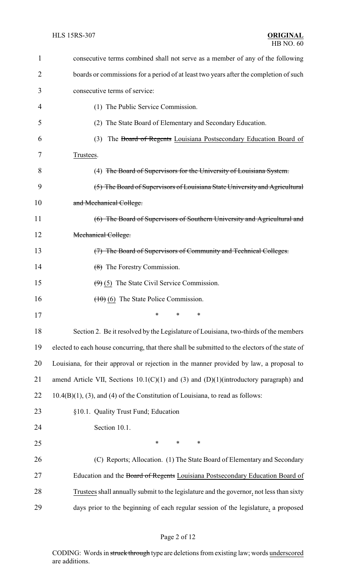| $\mathbf{1}$ | consecutive terms combined shall not serve as a member of any of the following                  |
|--------------|-------------------------------------------------------------------------------------------------|
| 2            | boards or commissions for a period of at least two years after the completion of such           |
| 3            | consecutive terms of service:                                                                   |
| 4            | (1) The Public Service Commission.                                                              |
| 5            | (2) The State Board of Elementary and Secondary Education.                                      |
| 6            | The Board of Regents Louisiana Postsecondary Education Board of<br>(3)                          |
| 7            | Trustees.                                                                                       |
| 8            | (4) The Board of Supervisors for the University of Louisiana System.                            |
| 9            | (5) The Board of Supervisors of Louisiana State University and Agricultural                     |
| 10           | and Mechanical College.                                                                         |
| 11           | (6) The Board of Supervisors of Southern University and Agricultural and                        |
| 12           | Mechanical College.                                                                             |
| 13           | (7) The Board of Supervisors of Community and Technical Colleges.                               |
| 14           | $\left(\frac{8}{6}\right)$ The Forestry Commission.                                             |
| 15           | $(9)$ (5) The State Civil Service Commission.                                                   |
| 16           | $(10)(6)$ The State Police Commission.                                                          |
| 17           | *<br>$\ast$                                                                                     |
| 18           | Section 2. Be it resolved by the Legislature of Louisiana, two-thirds of the members            |
| 19           | elected to each house concurring, that there shall be submitted to the electors of the state of |
| 20           | Louisiana, for their approval or rejection in the manner provided by law, a proposal to         |
| 21           | amend Article VII, Sections $10.1(C)(1)$ and (3) and (D)(1)(introductory paragraph) and         |
| 22           | $10.4(B)(1)$ , (3), and (4) of the Constitution of Louisiana, to read as follows:               |
| 23           | §10.1. Quality Trust Fund; Education                                                            |
| 24           | Section 10.1.                                                                                   |
| 25           | $\ast$<br>$\ast$<br>$\ast$                                                                      |
| 26           | (C) Reports; Allocation. (1) The State Board of Elementary and Secondary                        |
| 27           | Education and the Board of Regents Louisiana Postsecondary Education Board of                   |
| 28           | Trustees shall annually submit to the legislature and the governor, not less than sixty         |
| 29           | days prior to the beginning of each regular session of the legislature, a proposed              |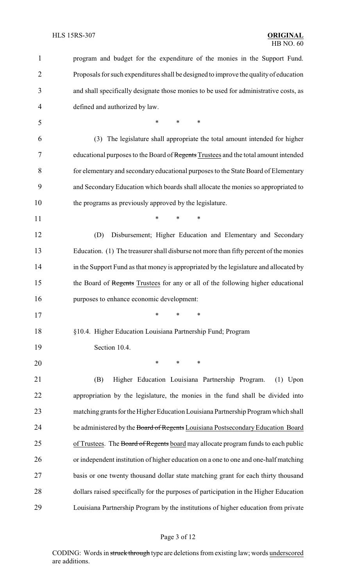| $\mathbf{1}$   | program and budget for the expenditure of the monies in the Support Fund.             |
|----------------|---------------------------------------------------------------------------------------|
| $\overline{2}$ | Proposals for such expenditures shall be designed to improve the quality of education |
| 3              | and shall specifically designate those monies to be used for administrative costs, as |
| $\overline{4}$ | defined and authorized by law.                                                        |
| 5              | $\ast$<br>$\ast$<br>$\ast$                                                            |
| 6              | (3) The legislature shall appropriate the total amount intended for higher            |
| 7              | educational purposes to the Board of Regents Trustees and the total amount intended   |
| 8              | for elementary and secondary educational purposes to the State Board of Elementary    |
| 9              | and Secondary Education which boards shall allocate the monies so appropriated to     |
| 10             | the programs as previously approved by the legislature.                               |
| 11             | $\ast$<br>$\ast$<br>*                                                                 |
| 12             | (D)<br>Disbursement; Higher Education and Elementary and Secondary                    |
| 13             | Education. (1) The treasurer shall disburse not more than fifty percent of the monies |
| 14             | in the Support Fund as that money is appropriated by the legislature and allocated by |
| 15             | the Board of Regents Trustees for any or all of the following higher educational      |
| 16             | purposes to enhance economic development:                                             |
| 17             | * * *                                                                                 |
| 18             | §10.4. Higher Education Louisiana Partnership Fund; Program                           |
| 19             | Section 10.4.                                                                         |
| 20             | $\ast$<br>$\ast$<br>∗                                                                 |
| 21             | Higher Education Louisiana Partnership Program.<br>(B)<br>$(1)$ Upon                  |
| 22             | appropriation by the legislature, the monies in the fund shall be divided into        |
| 23             | matching grants for the Higher Education Louisiana Partnership Program which shall    |
| 24             | be administered by the Board of Regents Louisiana Postsecondary Education Board       |
| 25             | of Trustees. The Board of Regents board may allocate program funds to each public     |
| 26             | or independent institution of higher education on a one to one and one-half matching  |
| 27             | basis or one twenty thousand dollar state matching grant for each thirty thousand     |
| 28             | dollars raised specifically for the purposes of participation in the Higher Education |
| 29             | Louisiana Partnership Program by the institutions of higher education from private    |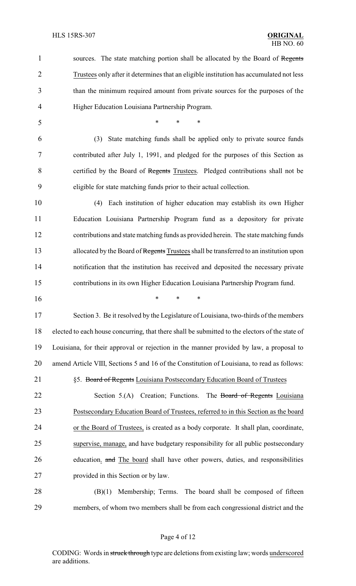1 sources. The state matching portion shall be allocated by the Board of Regents Trustees only after it determines that an eligible institution has accumulated not less than the minimum required amount from private sources for the purposes of the Higher Education Louisiana Partnership Program. \* \* \* (3) State matching funds shall be applied only to private source funds contributed after July 1, 1991, and pledged for the purposes of this Section as 8 certified by the Board of Regents Trustees. Pledged contributions shall not be eligible for state matching funds prior to their actual collection. (4) Each institution of higher education may establish its own Higher Education Louisiana Partnership Program fund as a depository for private contributions and state matching funds as provided herein. The state matching funds 13 allocated by the Board of Regents Trustees shall be transferred to an institution upon notification that the institution has received and deposited the necessary private contributions in its own Higher Education Louisiana Partnership Program fund. \* \* \* Section 3. Be it resolved by the Legislature of Louisiana, two-thirds of the members elected to each house concurring, that there shall be submitted to the electors of the state of Louisiana, for their approval or rejection in the manner provided by law, a proposal to amend Article VIII, Sections 5 and 16 of the Constitution of Louisiana, to read as follows: 21 §5. Board of Regents Louisiana Postsecondary Education Board of Trustees 22 Section 5.(A) Creation; Functions. The Board of Regents Louisiana Postsecondary Education Board of Trustees, referred to in this Section as the board or the Board of Trustees, is created as a body corporate. It shall plan, coordinate, supervise, manage, and have budgetary responsibility for all public postsecondary 26 education. and The board shall have other powers, duties, and responsibilities provided in this Section or by law. (B)(1) Membership; Terms. The board shall be composed of fifteen members, of whom two members shall be from each congressional district and the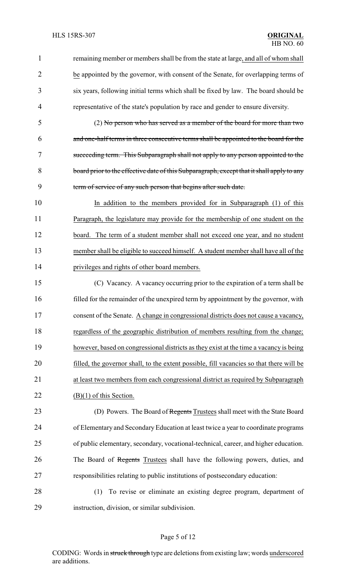- remaining member or members shall be from the state at large, and all of whom shall be appointed by the governor, with consent of the Senate, for overlapping terms of six years, following initial terms which shall be fixed by law. The board should be representative of the state's population by race and gender to ensure diversity.
- (2) No person who has served as a member of the board for more than two and one-half terms in three consecutive terms shall be appointed to the board for the succeeding term. This Subparagraph shall not apply to any person appointed to the 8 board prior to the effective date of this Subparagraph, except that it shall apply to any term of service of any such person that begins after such date.
- 10 In addition to the members provided for in Subparagraph (1) of this Paragraph, the legislature may provide for the membership of one student on the board. The term of a student member shall not exceed one year, and no student 13 member shall be eligible to succeed himself. A student member shall have all of the privileges and rights of other board members.
- (C) Vacancy. A vacancy occurring prior to the expiration of a term shall be filled for the remainder of the unexpired term by appointment by the governor, with consent of the Senate. A change in congressional districts does not cause a vacancy, regardless of the geographic distribution of members resulting from the change; however, based on congressional districts as they exist at the time a vacancy is being filled, the governor shall, to the extent possible, fill vacancies so that there will be at least two members from each congressional district as required by Subparagraph 22 (B)(1) of this Section.
- 23 (D) Powers. The Board of Regents Trustees shall meet with the State Board of Elementary and SecondaryEducation at least twice a year to coordinate programs of public elementary, secondary, vocational-technical, career, and higher education. 26 The Board of Regents Trustees shall have the following powers, duties, and responsibilities relating to public institutions of postsecondary education:
- (1) To revise or eliminate an existing degree program, department of instruction, division, or similar subdivision.

## Page 5 of 12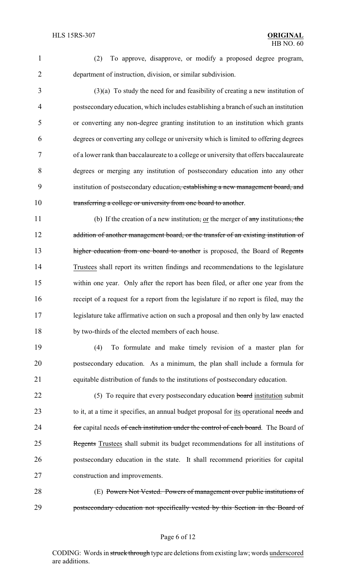- 
- 

 (2) To approve, disapprove, or modify a proposed degree program, department of instruction, division, or similar subdivision.

 (3)(a) To study the need for and feasibility of creating a new institution of postsecondary education, which includes establishing a branch of such an institution or converting any non-degree granting institution to an institution which grants degrees or converting any college or university which is limited to offering degrees of a lower rank than baccalaureate to a college or university that offers baccalaureate degrees or merging any institution of postsecondary education into any other institution of postsecondary education, establishing a new management board, and transferring a college or university from one board to another.

11 (b) If the creation of a new institution, or the merger of any institutions, the 12 addition of another management board, or the transfer of an existing institution of 13 higher education from one board to another is proposed, the Board of Regents Trustees shall report its written findings and recommendations to the legislature within one year. Only after the report has been filed, or after one year from the receipt of a request for a report from the legislature if no report is filed, may the legislature take affirmative action on such a proposal and then only by law enacted by two-thirds of the elected members of each house.

 (4) To formulate and make timely revision of a master plan for postsecondary education. As a minimum, the plan shall include a formula for equitable distribution of funds to the institutions of postsecondary education.

22 (5) To require that every postsecondary education board institution submit 23 to it, at a time it specifies, an annual budget proposal for its operational needs and 24 for capital needs of each institution under the control of each board. The Board of Regents Trustees shall submit its budget recommendations for all institutions of postsecondary education in the state. It shall recommend priorities for capital construction and improvements.

 (E) Powers Not Vested. Powers of management over public institutions of postsecondary education not specifically vested by this Section in the Board of

## Page 6 of 12

CODING: Words in struck through type are deletions from existing law; words underscored are additions.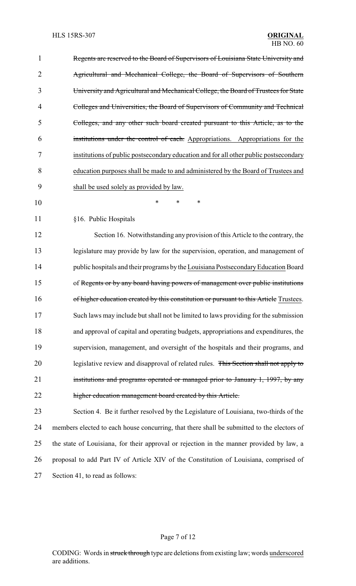| 1              | Regents are reserved to the Board of Supervisors of Louisiana State University and         |
|----------------|--------------------------------------------------------------------------------------------|
| $\overline{2}$ | Agricultural and Mechanical College, the Board of Supervisors of Southern                  |
| 3              | University and Agricultural and Mechanical College, the Board of Trustees for State        |
| 4              | Colleges and Universities, the Board of Supervisors of Community and Technical             |
| 5              | Colleges, and any other such board created pursuant to this Article, as to the             |
| 6              | institutions under the control of each. Appropriations. Appropriations for the             |
| 7              | institutions of public postsecondary education and for all other public postsecondary      |
| 8              | education purposes shall be made to and administered by the Board of Trustees and          |
| 9              | shall be used solely as provided by law.                                                   |
| 10             | *<br>$\ast$<br>*                                                                           |
| 11             | §16. Public Hospitals                                                                      |
| 12             | Section 16. Notwithstanding any provision of this Article to the contrary, the             |
| 13             | legislature may provide by law for the supervision, operation, and management of           |
| 14             | public hospitals and their programs by the Louisiana Postsecondary Education Board         |
| 15             | of Regents or by any board having powers of management over public institutions            |
| 16             | of higher education created by this constitution or pursuant to this Article Trustees.     |
| 17             | Such laws may include but shall not be limited to laws providing for the submission        |
| 18             | and approval of capital and operating budgets, appropriations and expenditures, the        |
| 19             | supervision, management, and oversight of the hospitals and their programs, and            |
| 20             | legislative review and disapproval of related rules. This Section shall not apply to       |
| 21             | institutions and programs operated or managed prior to January 1, 1997, by any             |
| 22             | higher education management board created by this Article.                                 |
| 23             | Section 4. Be it further resolved by the Legislature of Louisiana, two-thirds of the       |
| 24             | members elected to each house concurring, that there shall be submitted to the electors of |
| 25             | the state of Louisiana, for their approval or rejection in the manner provided by law, a   |
| 26             | proposal to add Part IV of Article XIV of the Constitution of Louisiana, comprised of      |
| 27             | Section 41, to read as follows:                                                            |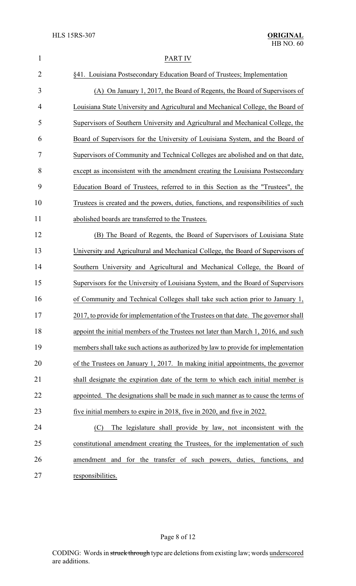| $\mathbf{1}$   | <b>PART IV</b>                                                                       |
|----------------|--------------------------------------------------------------------------------------|
| $\overline{2}$ | §41. Louisiana Postsecondary Education Board of Trustees; Implementation             |
| 3              | (A) On January 1, 2017, the Board of Regents, the Board of Supervisors of            |
| 4              | Louisiana State University and Agricultural and Mechanical College, the Board of     |
| 5              | Supervisors of Southern University and Agricultural and Mechanical College, the      |
| 6              | Board of Supervisors for the University of Louisiana System, and the Board of        |
| 7              | Supervisors of Community and Technical Colleges are abolished and on that date,      |
| 8              | except as inconsistent with the amendment creating the Louisiana Postsecondary       |
| 9              | Education Board of Trustees, referred to in this Section as the "Trustees", the      |
| 10             | Trustees is created and the powers, duties, functions, and responsibilities of such  |
| 11             | abolished boards are transferred to the Trustees.                                    |
| 12             | (B) The Board of Regents, the Board of Supervisors of Louisiana State                |
| 13             | University and Agricultural and Mechanical College, the Board of Supervisors of      |
| 14             | Southern University and Agricultural and Mechanical College, the Board of            |
| 15             | Supervisors for the University of Louisiana System, and the Board of Supervisors     |
| 16             | of Community and Technical Colleges shall take such action prior to January 1,       |
| 17             | 2017, to provide for implementation of the Trustees on that date. The governor shall |
| 18             | appoint the initial members of the Trustees not later than March 1, 2016, and such   |
| 19             | members shall take such actions as authorized by law to provide for implementation   |
| 20             | of the Trustees on January 1, 2017. In making initial appointments, the governor     |
| 21             | shall designate the expiration date of the term to which each initial member is      |
| 22             | appointed. The designations shall be made in such manner as to cause the terms of    |
| 23             | five initial members to expire in 2018, five in 2020, and five in 2022.              |
| 24             | The legislature shall provide by law, not inconsistent with the<br>(C)               |
| 25             | constitutional amendment creating the Trustees, for the implementation of such       |
| 26             | amendment and for the transfer of such powers, duties, functions, and                |
| 27             | responsibilities.                                                                    |

# Page 8 of 12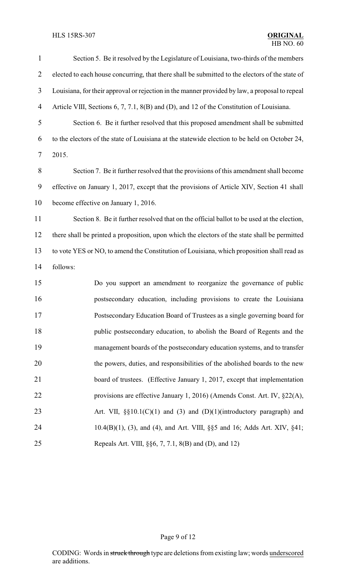## HLS 15RS-307 **ORIGINAL**

| $\mathbf{1}$     | Section 5. Be it resolved by the Legislature of Louisiana, two-thirds of the members            |
|------------------|-------------------------------------------------------------------------------------------------|
| $\overline{2}$   | elected to each house concurring, that there shall be submitted to the electors of the state of |
| $\mathfrak{Z}$   | Louisiana, for their approval or rejection in the manner provided by law, a proposal to repeal  |
| 4                | Article VIII, Sections 6, 7, 7.1, 8(B) and (D), and 12 of the Constitution of Louisiana.        |
| 5                | Section 6. Be it further resolved that this proposed amendment shall be submitted               |
| 6                | to the electors of the state of Louisiana at the statewide election to be held on October 24,   |
| 7                | 2015.                                                                                           |
| 8                | Section 7. Be it further resolved that the provisions of this amendment shall become            |
| $\boldsymbol{9}$ | effective on January 1, 2017, except that the provisions of Article XIV, Section 41 shall       |
| 10               | become effective on January 1, 2016.                                                            |
| 11               | Section 8. Be it further resolved that on the official ballot to be used at the election,       |
| 12               | there shall be printed a proposition, upon which the electors of the state shall be permitted   |
| 13               | to vote YES or NO, to amend the Constitution of Louisiana, which proposition shall read as      |
| 14               | follows:                                                                                        |
| 15               | Do you support an amendment to reorganize the governance of public                              |
| 16               | postsecondary education, including provisions to create the Louisiana                           |
| 17               | Postsecondary Education Board of Trustees as a single governing board for                       |
| 18               | public postsecondary education, to abolish the Board of Regents and the                         |
| 19               | management boards of the postsecondary education systems, and to transfer                       |
| 20               | the powers, duties, and responsibilities of the abolished boards to the new                     |
| 21               | board of trustees. (Effective January 1, 2017, except that implementation                       |
| 22               | provisions are effective January 1, 2016) (Amends Const. Art. IV, §22(A),                       |
| 23               | Art. VII, $\S(10.1)(C)(1)$ and (3) and (D)(1)(introductory paragraph) and                       |
| 24               | 10.4(B)(1), (3), and (4), and Art. VIII, §§5 and 16; Adds Art. XIV, §41;                        |
| 25               | Repeals Art. VIII, §§6, 7, 7.1, 8(B) and (D), and 12)                                           |

# Page 9 of 12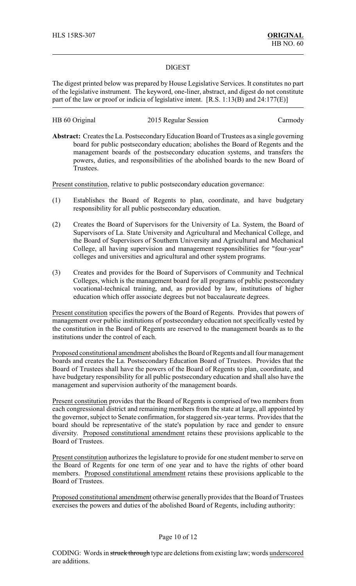### DIGEST

The digest printed below was prepared by House Legislative Services. It constitutes no part of the legislative instrument. The keyword, one-liner, abstract, and digest do not constitute part of the law or proof or indicia of legislative intent. [R.S. 1:13(B) and 24:177(E)]

HB 60 Original 2015 Regular Session Carmody

Abstract: Creates the La. Postsecondary Education Board of Trustees as a single governing board for public postsecondary education; abolishes the Board of Regents and the management boards of the postsecondary education systems, and transfers the powers, duties, and responsibilities of the abolished boards to the new Board of Trustees.

Present constitution, relative to public postsecondary education governance:

- (1) Establishes the Board of Regents to plan, coordinate, and have budgetary responsibility for all public postsecondary education.
- (2) Creates the Board of Supervisors for the University of La. System, the Board of Supervisors of La. State University and Agricultural and Mechanical College, and the Board of Supervisors of Southern University and Agricultural and Mechanical College, all having supervision and management responsibilities for "four-year" colleges and universities and agricultural and other system programs.
- (3) Creates and provides for the Board of Supervisors of Community and Technical Colleges, which is the management board for all programs of public postsecondary vocational-technical training, and, as provided by law, institutions of higher education which offer associate degrees but not baccalaureate degrees.

Present constitution specifies the powers of the Board of Regents. Provides that powers of management over public institutions of postsecondary education not specifically vested by the constitution in the Board of Regents are reserved to the management boards as to the institutions under the control of each.

Proposed constitutional amendment abolishes the Board of Regents and all four management boards and creates the La. Postsecondary Education Board of Trustees. Provides that the Board of Trustees shall have the powers of the Board of Regents to plan, coordinate, and have budgetary responsibility for all public postsecondary education and shall also have the management and supervision authority of the management boards.

Present constitution provides that the Board of Regents is comprised of two members from each congressional district and remaining members from the state at large, all appointed by the governor, subject to Senate confirmation, for staggered six-year terms. Provides that the board should be representative of the state's population by race and gender to ensure diversity. Proposed constitutional amendment retains these provisions applicable to the Board of Trustees.

Present constitution authorizes the legislature to provide for one student member to serve on the Board of Regents for one term of one year and to have the rights of other board members. Proposed constitutional amendment retains these provisions applicable to the Board of Trustees.

Proposed constitutional amendment otherwise generally provides that the Board of Trustees exercises the powers and duties of the abolished Board of Regents, including authority:

#### Page 10 of 12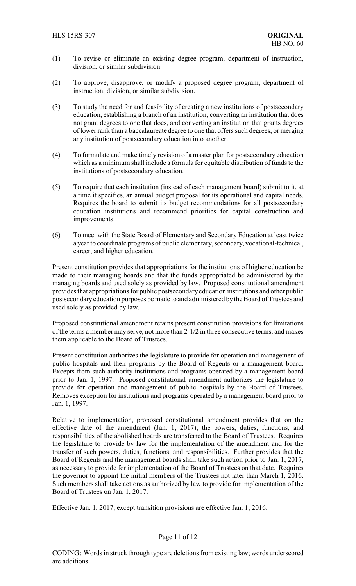- (1) To revise or eliminate an existing degree program, department of instruction, division, or similar subdivision.
- (2) To approve, disapprove, or modify a proposed degree program, department of instruction, division, or similar subdivision.
- (3) To study the need for and feasibility of creating a new institutions of postsecondary education, establishing a branch of an institution, converting an institution that does not grant degrees to one that does, and converting an institution that grants degrees of lower rank than a baccalaureate degree to one that offers such degrees, or merging any institution of postsecondary education into another.
- (4) To formulate and make timely revision of a master plan for postsecondary education which as a minimum shall include a formula for equitable distribution of funds to the institutions of postsecondary education.
- (5) To require that each institution (instead of each management board) submit to it, at a time it specifies, an annual budget proposal for its operational and capital needs. Requires the board to submit its budget recommendations for all postsecondary education institutions and recommend priorities for capital construction and improvements.
- (6) To meet with the State Board of Elementary and Secondary Education at least twice a year to coordinate programs of public elementary, secondary, vocational-technical, career, and higher education.

Present constitution provides that appropriations for the institutions of higher education be made to their managing boards and that the funds appropriated be administered by the managing boards and used solely as provided by law. Proposed constitutional amendment provides that appropriations for public postsecondaryeducation institutions and other public postsecondary education purposes be made to and administered by the Board of Trustees and used solely as provided by law.

Proposed constitutional amendment retains present constitution provisions for limitations of the terms a member may serve, not more than 2-1/2 in three consecutive terms, and makes them applicable to the Board of Trustees.

Present constitution authorizes the legislature to provide for operation and management of public hospitals and their programs by the Board of Regents or a management board. Excepts from such authority institutions and programs operated by a management board prior to Jan. 1, 1997. Proposed constitutional amendment authorizes the legislature to provide for operation and management of public hospitals by the Board of Trustees. Removes exception for institutions and programs operated by a management board prior to Jan. 1, 1997.

Relative to implementation, proposed constitutional amendment provides that on the effective date of the amendment (Jan. 1, 2017), the powers, duties, functions, and responsibilities of the abolished boards are transferred to the Board of Trustees. Requires the legislature to provide by law for the implementation of the amendment and for the transfer of such powers, duties, functions, and responsibilities. Further provides that the Board of Regents and the management boards shall take such action prior to Jan. 1, 2017, as necessary to provide for implementation of the Board of Trustees on that date. Requires the governor to appoint the initial members of the Trustees not later than March 1, 2016. Such members shall take actions as authorized by law to provide for implementation of the Board of Trustees on Jan. 1, 2017.

Effective Jan. 1, 2017, except transition provisions are effective Jan. 1, 2016.

## Page 11 of 12